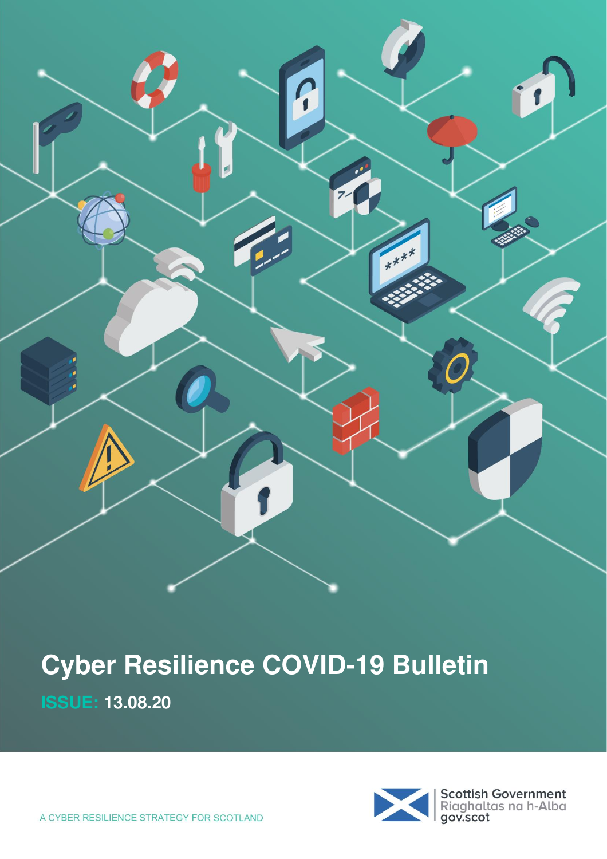

**ISSUE: 13.08.20** 

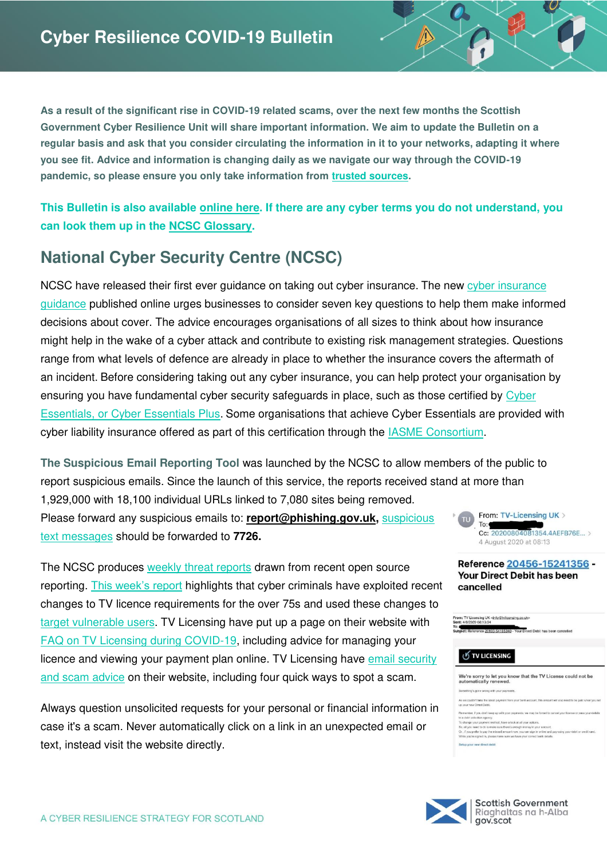**As a result of the significant rise in COVID-19 related scams, over the next few months the Scottish Government Cyber Resilience Unit will share important information. We aim to update the Bulletin on a regular basis and ask that you consider circulating the information in it to your networks, adapting it where you see fit. Advice and information is changing daily as we navigate our way through the COVID-19 pandemic, so please ensure you only take information from [trusted sources.](#page-6-0)** 

**This Bulletin is also available [online here.](https://blogs.gov.scot/cyber-resilience/2020/05/06/cyber-resilience-notice-covid-19/?utm_source=Cyber%20Bulletin&utm_medium=document%20link&utm_campaign=Cyber%20Resilience%20Bulletin) If there are any cyber terms you do not understand, you can look them up in the [NCSC Glossary.](https://www.ncsc.gov.uk/information/ncsc-glossary)** 

# **National Cyber Security Centre (NCSC)**

NCSC have released their first ever guidance on taking out cyber insurance. The new [cyber insurance](https://www.ncsc.gov.uk/guidance/cyber-insurance-guidance)  [guidance](https://www.ncsc.gov.uk/guidance/cyber-insurance-guidance) published online urges businesses to consider seven key questions to help them make informed decisions about cover. The advice encourages organisations of all sizes to think about how insurance might help in the wake of a cyber attack and contribute to existing risk management strategies. Questions range from what levels of defence are already in place to whether the insurance covers the aftermath of an incident. Before considering taking out any cyber insurance, you can help protect your organisation by ensuring you have fundamental cyber security safeguards in place, such as those certified by [Cyber](https://www.ncsc.gov.uk/cyberessentials/overview)  [Essentials, or Cyber Essentials Plus.](https://www.ncsc.gov.uk/cyberessentials/overview) Some organisations that achieve Cyber Essentials are provided with cyber liability insurance offered as part of this certification through the [IASME Consortium.](https://iasme.co.uk/cyber-essentials/cyber-liability-insurance/)

**The Suspicious Email Reporting Tool** was launched by the NCSC to allow members of the public to report suspicious emails. Since the launch of this service, the reports received stand at more than 1,929,000 with 18,100 individual URLs linked to 7,080 sites being removed.

Please forward any suspicious emails to: **[report@phishing.gov.uk,](mailto:report@phishing.gov.uk)** [suspicious](https://www.ncsc.gov.uk/guidance/suspicious-email-actions)  [text messages](https://www.ncsc.gov.uk/guidance/suspicious-email-actions) should be forwarded to **7726.**

The NCSC produces [weekly threat reports](https://www.ncsc.gov.uk/section/keep-up-to-date/threat-reports) drawn from recent open source reporting. T[his week's report](https://www.ncsc.gov.uk/report/weekly-threat-report-7th-august-2020) highlights that cyber criminals have exploited recent changes to TV licence requirements for the over 75s and used these changes to [target vulnerable users.](https://www.infosecurity-magazine.com/news/hundreds-targeted-tv-license-scam/) TV Licensing have put up a page on their website with [FAQ on TV Licensing during COVID-19,](https://www.tvlicensing.co.uk/coronavirus) including advice for managing your licence and viewing your payment plan online. TV Licensing have email security [and scam advice](https://www.tvlicensing.co.uk/faqs/FAQ288) on their website, including four quick ways to spot a scam.

Always question unsolicited requests for your personal or financial information in case it's a scam. Never automatically click on a link in an unexpected email or text, instead visit the website directly.



#### Reference 20456-15241356 -Your Direct Debit has been cancelled



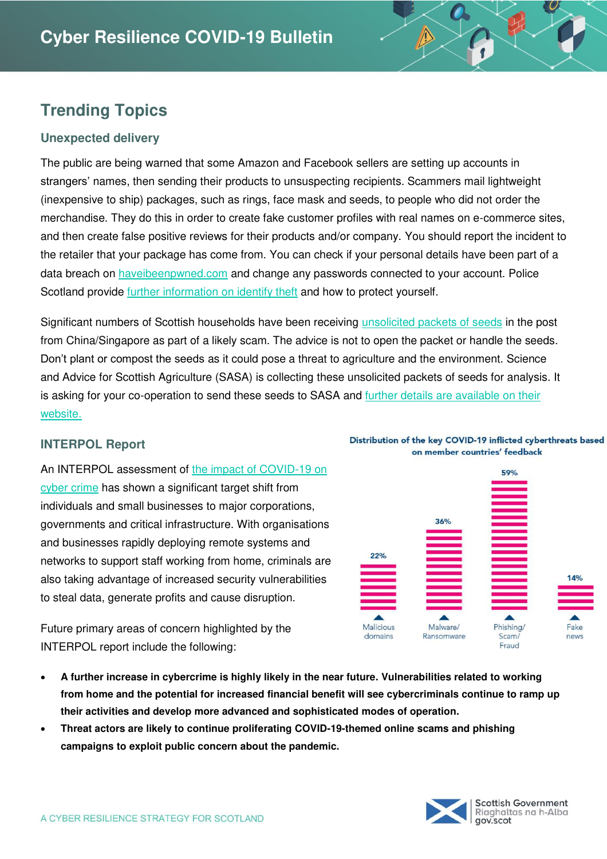# **Trending Topics**

### **Unexpected delivery**

The public are being warned that some Amazon and Facebook sellers are setting up accounts in strangers' names, then sending their products to unsuspecting recipients. Scammers mail lightweight (inexpensive to ship) packages, such as rings, face mask and seeds, to people who did not order the merchandise. They do this in order to create fake customer profiles with real names on e-commerce sites, and then create false positive reviews for their products and/or company. You should report the incident to the retailer that your package has come from. You can check if your personal details have been part of a data breach on [haveibeenpwned.com](https://haveibeenpwned.com/) and change any passwords connected to your account. Police Scotland provide [further information on identify theft](https://www.scotland.police.uk/keep-safe/advice-for-victims-of-crime/fraud/identity-theft/) and how to protect yourself.

Significant numbers of Scottish households have been receiving [unsolicited packets of seeds](https://www.bbc.co.uk/news/uk-scotland-53736078) in the post from China/Singapore as part of a likely scam. The advice is not to open the packet or handle the seeds. Don't plant or compost the seeds as it could pose a threat to agriculture and the environment. Science and Advice for Scottish Agriculture (SASA) is collecting these unsolicited packets of seeds for analysis. It is asking for your co-operation to send these seeds to SASA and [further details are available on their](http://www.sasa.gov.uk/content/unsolicited-seeds)  [website.](http://www.sasa.gov.uk/content/unsolicited-seeds) 

### **INTERPOL Report**

An INTERPOL assessment of [the impact of COVID-19 on](https://www.interpol.int/en/News-and-Events/News/2020/INTERPOL-report-shows-alarming-rate-of-cyberattacks-during-COVID-19)  [cyber crime](https://www.interpol.int/en/News-and-Events/News/2020/INTERPOL-report-shows-alarming-rate-of-cyberattacks-during-COVID-19) has shown a significant target shift from individuals and small businesses to major corporations, governments and critical infrastructure. With organisations and businesses rapidly deploying remote systems and networks to support staff working from home, criminals are also taking advantage of increased security vulnerabilities to steal data, generate profits and cause disruption.

Future primary areas of concern highlighted by the INTERPOL report include the following:

- **A further increase in cybercrime is highly likely in the near future. Vulnerabilities related to working from home and the potential for increased financial benefit will see cybercriminals continue to ramp up their activities and develop more advanced and sophisticated modes of operation.**
- **Threat actors are likely to continue proliferating COVID-19-themed online scams and phishing campaigns to exploit public concern about the pandemic.**





#### Distribution of the key COVID-19 inflicted cyberthreats based on member countries' feedback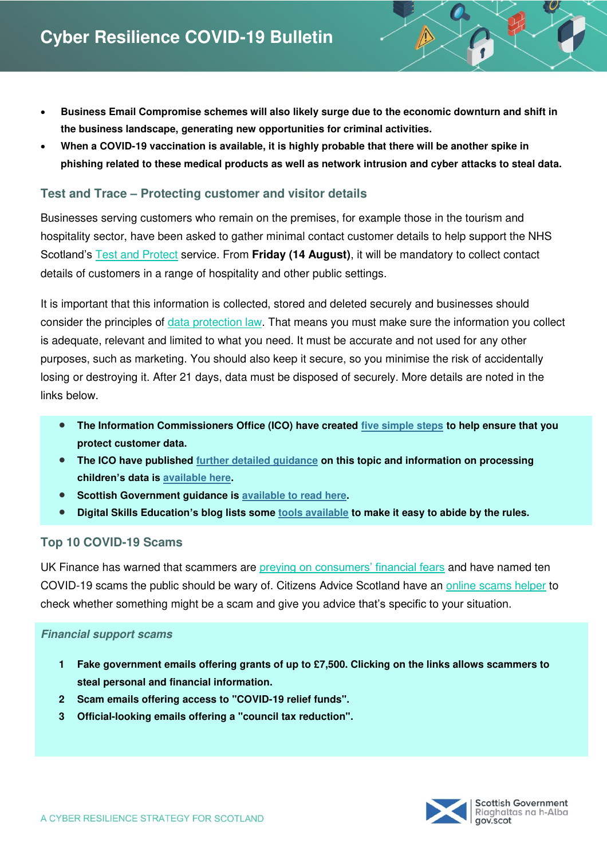- **Business Email Compromise schemes will also likely surge due to the economic downturn and shift in the business landscape, generating new opportunities for criminal activities.**
- **When a COVID-19 vaccination is available, it is highly probable that there will be another spike in phishing related to these medical products as well as network intrusion and cyber attacks to steal data.**

### **Test and Trace – Protecting customer and visitor details**

Businesses serving customers who remain on the premises, for example those in the tourism and hospitality sector, have been asked to gather minimal contact customer details to help support the NHS Scotland's [Test and Protect](https://www.gov.scot/publications/coronavirus-covid-19-test-and-protect/) service. From **Friday (14 August)**, it will be mandatory to collect contact details of customers in a range of hospitality and other public settings.

It is important that this information is collected, stored and deleted securely and businesses should consider the principles of [data protection law.](https://ico.org.uk/for-organisations/guide-to-data-protection/) That means you must make sure the information you collect is adequate, relevant and limited to what you need. It must be accurate and not used for any other purposes, such as marketing. You should also keep it secure, so you minimise the risk of accidentally losing or destroying it. After 21 days, data must be disposed of securely. More details are noted in the links below.

- **The Information Commissioners Office (ICO) have created [five simple steps](https://ico.org.uk/global/data-protection-and-coronavirus-information-hub/contact-tracing-protecting-customer-and-visitor-details/) to help ensure that you protect customer data.**
- **The ICO have published [further detailed guidance](https://ico.org.uk/global/data-protection-and-coronavirus-information-hub/coronavirus-recovery-data-protection-advice-for-organisations/collecting-customer-and-visitor-details-for-contact-tracing/) on this topic and information on processing children's data is [available here.](https://ico.org.uk/for-organisations/guide-to-data-protection/key-data-protection-themes/children/)**
- **Scottish Government guidance is [available to read here.](http://www.gov.scot/publications/coronavirus-covid-19-tourism-and-hospitality-sector-guidance/pages/collecting-customer-contact-details/)**
- **Digital Skills Education's blog lists some [tools available](http://digitalskillseducation.com/contact-tracing/) to make it easy to abide by the rules.**

### **Top 10 COVID-19 Scams**

UK Finance has warned that scammers are [preying on consumers' financial fears](https://www.bbc.co.uk/news/business-53573408) and have named ten COVID-19 scams the public should be wary of. Citizens Advice Scotland have an [online scams helper](https://www.citizensadvice.org.uk/scotland/consumer/scams/check-if-something-might-be-a-scam/) to check whether something might be a scam and give you advice that's specific to your situation.

#### *Financial support scams*

- **1 Fake government emails offering grants of up to £7,500. Clicking on the links allows scammers to steal personal and financial information.**
- **2 Scam emails offering access to "COVID-19 relief funds".**
- **3 Official-looking emails offering a "council tax reduction".**

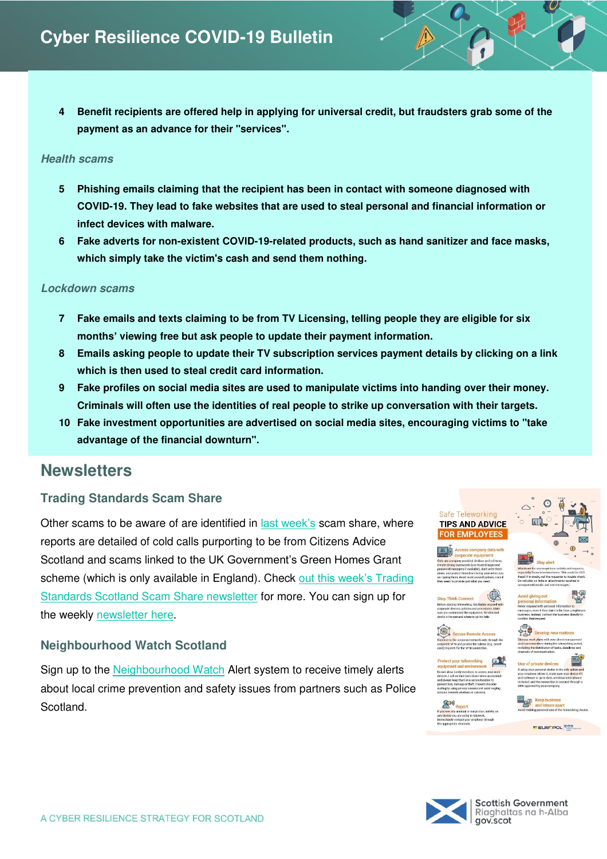**4 Benefit recipients are offered help in applying for universal credit, but fraudsters grab some of the payment as an advance for their "services".** 

#### *Health scams*

- **5 Phishing emails claiming that the recipient has been in contact with someone diagnosed with COVID-19. They lead to fake websites that are used to steal personal and financial information or infect devices with malware.**
- **6 Fake adverts for non-existent COVID-19-related products, such as hand sanitizer and face masks, which simply take the victim's cash and send them nothing.**

#### *Lockdown scams*

- **7 Fake emails and texts claiming to be from TV Licensing, telling people they are eligible for six months' viewing free but ask people to update their payment information.**
- **8 Emails asking people to update their TV subscription services payment details by clicking on a link which is then used to steal credit card information.**
- **9 Fake profiles on social media sites are used to manipulate victims into handing over their money. Criminals will often use the identities of real people to strike up conversation with their targets.**
- **10 Fake investment opportunities are advertised on social media sites, encouraging victims to "take advantage of the financial downturn".**

### **Newsletters**

#### **Trading Standards Scam Share**

Other scams to be aware of are identified in [last week's](https://mailchi.mp/2cc758b7e500/scam-share) scam share, where reports are detailed of cold calls purporting to be from Citizens Advice Scotland and scams linked to the UK Government's Green Homes Grant scheme (which is only available in England). Check out this week's Trading [Standards Scotland Scam Share newsletter](https://mailchi.mp/66a7c1446828/scam-share) for more. You can sign up for the weekly [newsletter here.](https://mailchi.mp/79a5dd06fd6a/scamshare)

#### **Neighbourhood Watch Scotland**

Sign up to the [Neighbourhood Watch](https://www.neighbourhoodwatchscotland.co.uk/) Alert system to receive timely alerts about local crime prevention and safety issues from partners such as Police Scotland.





EUROPOL<sup>EC3</sup>

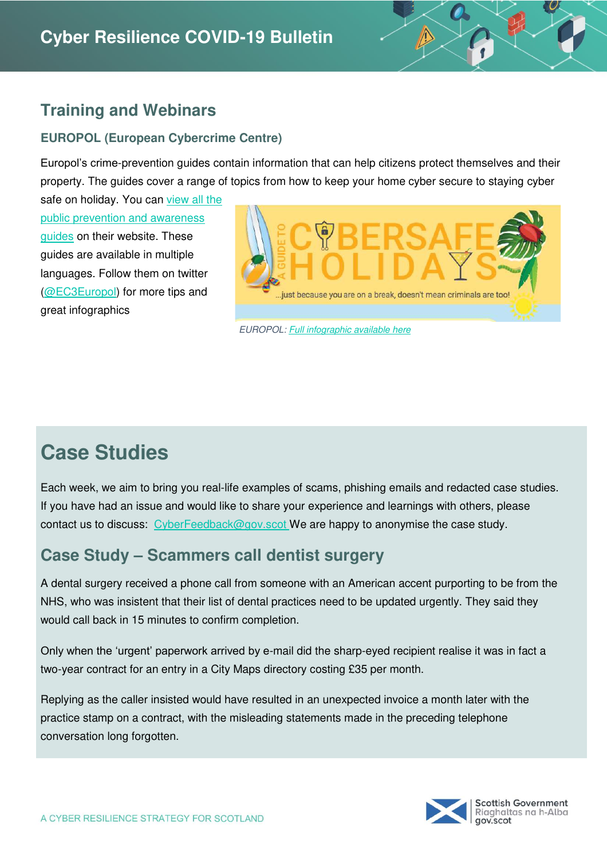### **Training and Webinars**

### **EUROPOL (European Cybercrime Centre)**

Europol's crime-prevention guides contain information that can help citizens protect themselves and their property. The guides cover a range of topics from how to keep your home cyber secure to staying cyber

safe on holiday. You can view all the [public prevention and awareness](https://www.europol.europa.eu/activities-services/public-awareness-and-prevention-guides)  [guides](https://www.europol.europa.eu/activities-services/public-awareness-and-prevention-guides) on their website. These guides are available in multiple languages. Follow them on twitter [\(@EC3Europol\)](https://twitter.com/EC3Europol) for more tips and great infographics



 *EUROPOL: [Full infographic available here](https://www.europol.europa.eu/activities-services/public-awareness-and-prevention-guides/guide-to-cybersafe-holidays)*

# **Case Studies**

Each week, we aim to bring you real-life examples of scams, phishing emails and redacted case studies. If you have had an issue and would like to share your experience and learnings with others, please contact us to discuss: [CyberFeedback@gov.scot](mailto:CyberFeedback@gov.scot) We are happy to anonymise the case study.

# **Case Study – Scammers call dentist surgery**

A dental surgery received a phone call from someone with an American accent purporting to be from the NHS, who was insistent that their list of dental practices need to be updated urgently. They said they would call back in 15 minutes to confirm completion.

Only when the 'urgent' paperwork arrived by e-mail did the sharp-eyed recipient realise it was in fact a two-year contract for an entry in a City Maps directory costing £35 per month.

Replying as the caller insisted would have resulted in an unexpected invoice a month later with the practice stamp on a contract, with the misleading statements made in the preceding telephone conversation long forgotten.